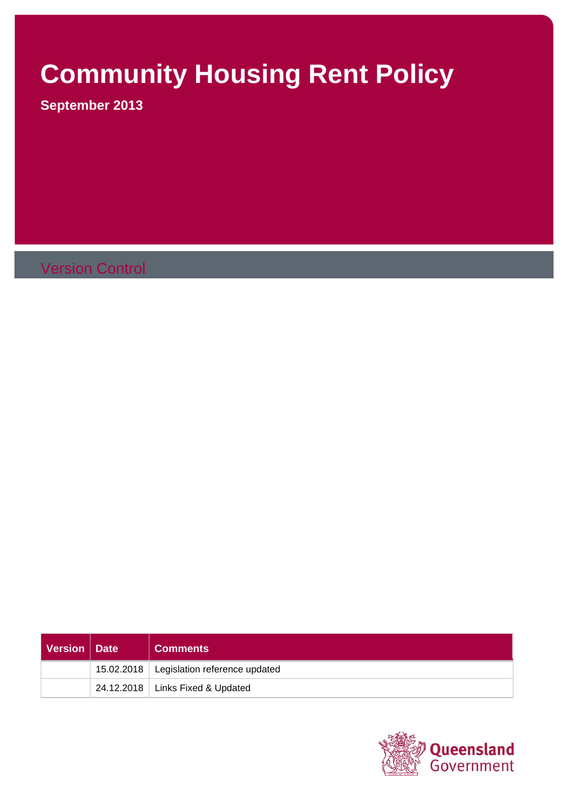# **Community Housing Rent Policy**

**September 2013**

Version Control

| Version   Date | <b>Comments</b>                            |
|----------------|--------------------------------------------|
|                | 15.02.2018   Legislation reference updated |
|                | 24.12.2018   Links Fixed & Updated         |

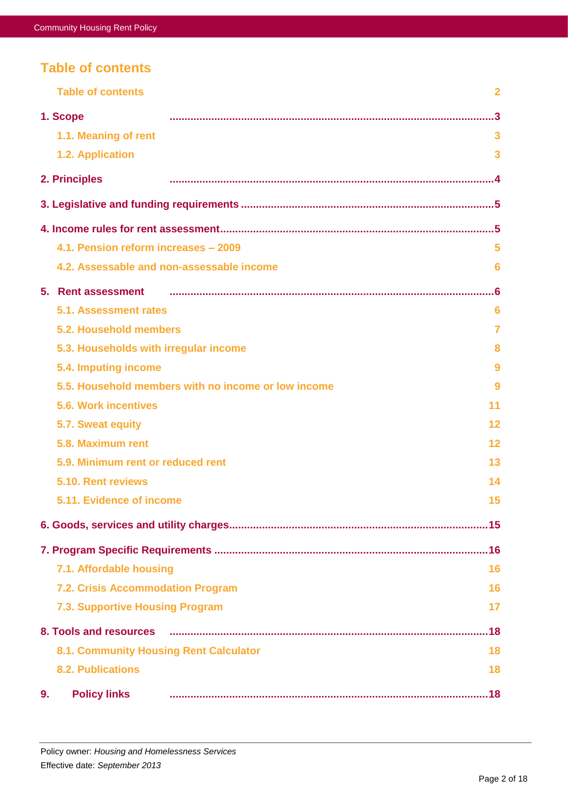# <span id="page-1-0"></span>**Table of contents**

|                                   | <b>Table of contents</b>               | $\overline{2}$                                           |  |  |  |
|-----------------------------------|----------------------------------------|----------------------------------------------------------|--|--|--|
|                                   | 1. Scope                               | $\cdot$ .3                                               |  |  |  |
|                                   | 1.1. Meaning of rent                   | 3                                                        |  |  |  |
|                                   | 1.2. Application                       | 3                                                        |  |  |  |
|                                   | 2. Principles                          |                                                          |  |  |  |
|                                   |                                        |                                                          |  |  |  |
|                                   |                                        |                                                          |  |  |  |
|                                   | 4.1. Pension reform increases - 2009   | 5                                                        |  |  |  |
|                                   |                                        | 4.2. Assessable and non-assessable income<br>6           |  |  |  |
|                                   | 5. Rent assessment<br>.6               |                                                          |  |  |  |
|                                   | 5.1. Assessment rates                  | 6                                                        |  |  |  |
|                                   | 5.2. Household members                 | $\overline{7}$                                           |  |  |  |
|                                   | 5.3. Households with irregular income  | 8                                                        |  |  |  |
|                                   | 5.4. Imputing income                   | 9                                                        |  |  |  |
|                                   |                                        | 5.5. Household members with no income or low income<br>9 |  |  |  |
|                                   | <b>5.6. Work incentives</b>            | 11                                                       |  |  |  |
|                                   | 5.7. Sweat equity                      | $12 \,$                                                  |  |  |  |
|                                   | 5.8. Maximum rent                      | 12                                                       |  |  |  |
| 5.9. Minimum rent or reduced rent |                                        |                                                          |  |  |  |
|                                   | 5.10. Rent reviews                     | 14                                                       |  |  |  |
|                                   | 5.11. Evidence of income               | 15                                                       |  |  |  |
|                                   |                                        |                                                          |  |  |  |
|                                   |                                        |                                                          |  |  |  |
|                                   | 7.1. Affordable housing                | 16                                                       |  |  |  |
|                                   | 7.2. Crisis Accommodation Program      | 16                                                       |  |  |  |
|                                   | 7.3. Supportive Housing Program        | 17                                                       |  |  |  |
|                                   |                                        |                                                          |  |  |  |
|                                   | 8.1. Community Housing Rent Calculator | 18                                                       |  |  |  |
|                                   | <b>8.2. Publications</b>               | 18                                                       |  |  |  |
| 9 <sub>1</sub>                    | <b>Policy links</b>                    |                                                          |  |  |  |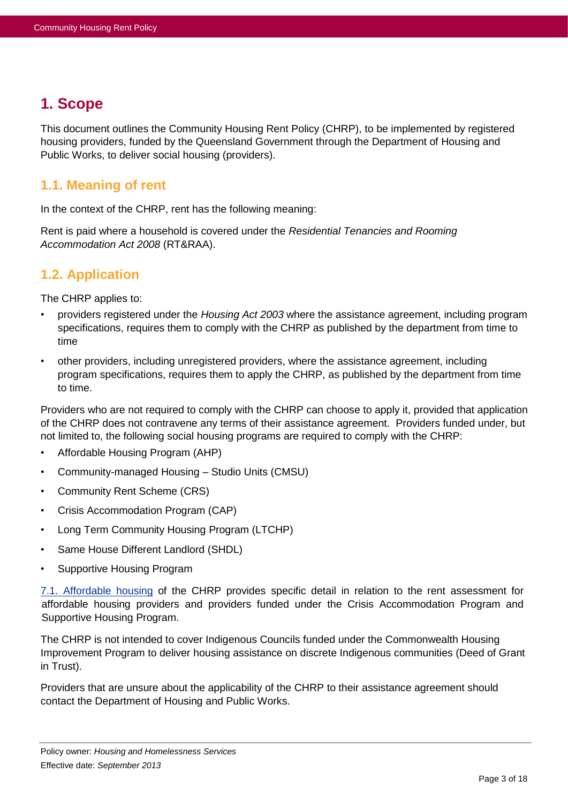# <span id="page-2-0"></span>**1. Scope**

This document outlines the Community Housing Rent Policy (CHRP), to be implemented by registered housing providers, funded by the Queensland Government through the Department of Housing and Public Works, to deliver social housing (providers).

### <span id="page-2-1"></span>**1.1. Meaning of rent**

In the context of the CHRP, rent has the following meaning:

Rent is paid where a household is covered under the *Residential Tenancies and Rooming Accommodation Act 2008* (RT&RAA).

# <span id="page-2-2"></span>**1.2. Application**

The CHRP applies to:

- providers registered under the *Housing Act 2003* where the assistance agreement, including program specifications, requires them to comply with the CHRP as published by the department from time to time
- other providers, including unregistered providers, where the assistance agreement, including program specifications, requires them to apply the CHRP, as published by the department from time to time.

Providers who are not required to comply with the CHRP can choose to apply it, provided that application of the CHRP does not contravene any terms of their assistance agreement. Providers funded under, but not limited to, the following social housing programs are required to comply with the CHRP:

- Affordable Housing Program (AHP)
- Community-managed Housing Studio Units (CMSU)
- Community Rent Scheme (CRS)
- Crisis Accommodation Program (CAP)
- Long Term Community Housing Program (LTCHP)
- Same House Different Landlord (SHDL)
- Supportive Housing Program

[7.1. Affordable housing](#page-15-1) of the CHRP provides specific detail in relation to the rent assessment for affordable housing providers and providers funded under the Crisis Accommodation Program and Supportive Housing Program.

The CHRP is not intended to cover Indigenous Councils funded under the Commonwealth Housing Improvement Program to deliver housing assistance on discrete Indigenous communities (Deed of Grant in Trust).

Providers that are unsure about the applicability of the CHRP to their assistance agreement should contact the Department of Housing and Public Works.

Policy owner: *Housing and Homelessness Services* Effective date: *September 2013*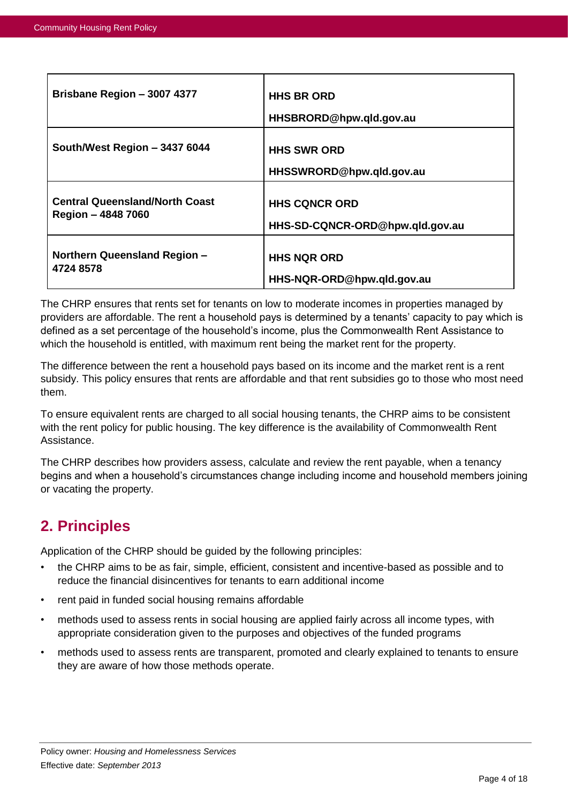| Brisbane Region - 3007 4377           | <b>HHS BR ORD</b><br>HHSBRORD@hpw.qld.gov.au   |
|---------------------------------------|------------------------------------------------|
| South/West Region - 3437 6044         | <b>HHS SWR ORD</b><br>HHSSWRORD@hpw.qld.gov.au |
| <b>Central Queensland/North Coast</b> | <b>HHS CQNCR ORD</b>                           |
| Region - 4848 7060                    | HHS-SD-CQNCR-ORD@hpw.qld.gov.au                |
| <b>Northern Queensland Region -</b>   | <b>HHS NQR ORD</b>                             |
| 4724 8578                             | HHS-NQR-ORD@hpw.qld.gov.au                     |

The CHRP ensures that rents set for tenants on low to moderate incomes in properties managed by providers are affordable. The rent a household pays is determined by a tenants' capacity to pay which is defined as a set percentage of the household's income, plus the Commonwealth Rent Assistance to which the household is entitled, with maximum rent being the market rent for the property.

The difference between the rent a household pays based on its income and the market rent is a rent subsidy. This policy ensures that rents are affordable and that rent subsidies go to those who most need them.

To ensure equivalent rents are charged to all social housing tenants, the CHRP aims to be consistent with the rent policy for public housing. The key difference is the availability of Commonwealth Rent Assistance.

The CHRP describes how providers assess, calculate and review the rent payable, when a tenancy begins and when a household's circumstances change including income and household members joining or vacating the property.

# <span id="page-3-0"></span>**2. Principles**

Application of the CHRP should be guided by the following principles:

- the CHRP aims to be as fair, simple, efficient, consistent and incentive-based as possible and to reduce the financial disincentives for tenants to earn additional income
- rent paid in funded social housing remains affordable
- methods used to assess rents in social housing are applied fairly across all income types, with appropriate consideration given to the purposes and objectives of the funded programs
- methods used to assess rents are transparent, promoted and clearly explained to tenants to ensure they are aware of how those methods operate.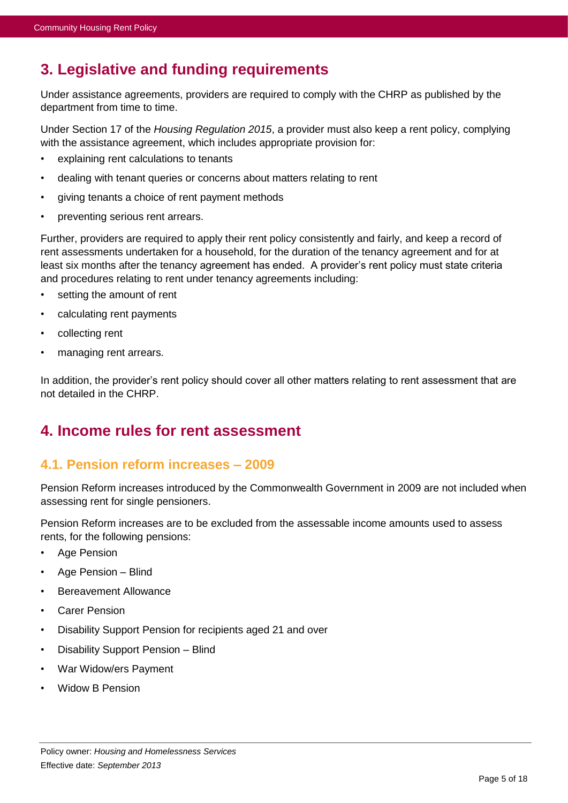# <span id="page-4-0"></span>**3. Legislative and funding requirements**

Under assistance agreements, providers are required to comply with the CHRP as published by the department from time to time.

Under Section 17 of the *Housing Regulation 2015*, a provider must also keep a rent policy, complying with the assistance agreement, which includes appropriate provision for:

- explaining rent calculations to tenants
- dealing with tenant queries or concerns about matters relating to rent
- giving tenants a choice of rent payment methods
- preventing serious rent arrears.

Further, providers are required to apply their rent policy consistently and fairly, and keep a record of rent assessments undertaken for a household, for the duration of the tenancy agreement and for at least six months after the tenancy agreement has ended. A provider's rent policy must state criteria and procedures relating to rent under tenancy agreements including:

- setting the amount of rent
- calculating rent payments
- collecting rent
- managing rent arrears.

In addition, the provider's rent policy should cover all other matters relating to rent assessment that are not detailed in the CHRP.

# <span id="page-4-1"></span>**4. Income rules for rent assessment**

### <span id="page-4-2"></span>**4.1. Pension reform increases – 2009**

Pension Reform increases introduced by the Commonwealth Government in 2009 are not included when assessing rent for single pensioners.

Pension Reform increases are to be excluded from the assessable income amounts used to assess rents, for the following pensions:

- Age Pension
- Age Pension Blind
- Bereavement Allowance
- **Carer Pension**
- Disability Support Pension for recipients aged 21 and over
- Disability Support Pension Blind
- War Widow/ers Payment
- Widow B Pension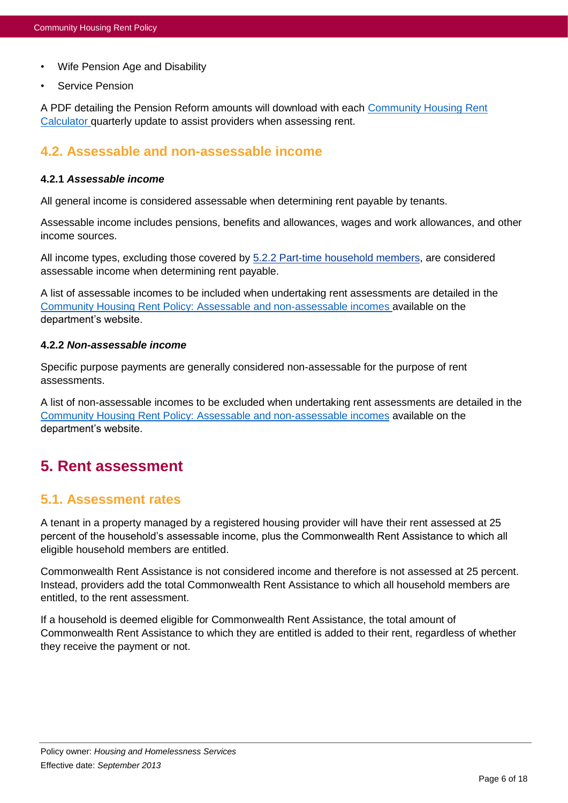- Wife Pension Age and Disability
- Service Pension

A PDF detailing the Pension Reform amounts will download with each [Community Housing Rent](https://www.hpw.qld.gov.au/RentCalculator/)  [Calculator](https://www.hpw.qld.gov.au/RentCalculator/) quarterly update to assist providers when assessing rent.

### <span id="page-5-0"></span>**4.2. Assessable and non-assessable income**

#### <span id="page-5-3"></span>**4.2.1** *Assessable income*

All general income is considered assessable when determining rent payable by tenants.

Assessable income includes pensions, benefits and allowances, wages and work allowances, and other income sources.

All income types, excluding those covered by [5.2.2 Part-time household members,](#page-6-1) are considered assessable income when determining rent payable.

A list of assessable incomes to be included when undertaking rent assessments are detailed in the [Community Housing Rent Policy: Assessable and non-assessable incomes](https://www.hpw.qld.gov.au/SiteCollectionDocuments/CHRentAssessmentToolAssessableAndNonAssessableIncome.pdf) available on the department's website.

#### **4.2.2** *Non-assessable income*

Specific purpose payments are generally considered non-assessable for the purpose of rent assessments.

A list of non-assessable incomes to be excluded when undertaking rent assessments are detailed in the [Community Housing Rent Policy: Assessable and non-assessable incomes](https://www.hpw.qld.gov.au/SiteCollectionDocuments/CHRentAssessmentToolAssessableAndNonAssessableIncome.pdf) available on the department's website.

# <span id="page-5-1"></span>**5. Rent assessment**

### <span id="page-5-2"></span>**5.1. Assessment rates**

A tenant in a property managed by a registered housing provider will have their rent assessed at 25 percent of the household's assessable income, plus the Commonwealth Rent Assistance to which all eligible household members are entitled.

Commonwealth Rent Assistance is not considered income and therefore is not assessed at 25 percent. Instead, providers add the total Commonwealth Rent Assistance to which all household members are entitled, to the rent assessment.

If a household is deemed eligible for Commonwealth Rent Assistance, the total amount of Commonwealth Rent Assistance to which they are entitled is added to their rent, regardless of whether they receive the payment or not.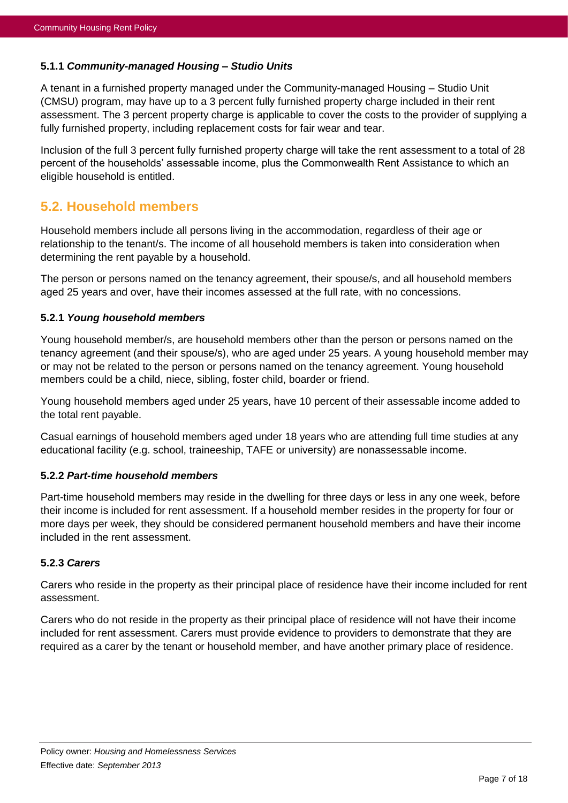#### <span id="page-6-2"></span>**5.1.1** *Community-managed Housing – Studio Units*

A tenant in a furnished property managed under the Community-managed Housing – Studio Unit (CMSU) program, may have up to a 3 percent fully furnished property charge included in their rent assessment. The 3 percent property charge is applicable to cover the costs to the provider of supplying a fully furnished property, including replacement costs for fair wear and tear.

Inclusion of the full 3 percent fully furnished property charge will take the rent assessment to a total of 28 percent of the households' assessable income, plus the Commonwealth Rent Assistance to which an eligible household is entitled.

# <span id="page-6-0"></span>**5.2. Household members**

Household members include all persons living in the accommodation, regardless of their age or relationship to the tenant/s. The income of all household members is taken into consideration when determining the rent payable by a household.

The person or persons named on the tenancy agreement, their spouse/s, and all household members aged 25 years and over, have their incomes assessed at the full rate, with no concessions.

#### <span id="page-6-3"></span>**5.2.1** *Young household members*

Young household member/s, are household members other than the person or persons named on the tenancy agreement (and their spouse/s), who are aged under 25 years. A young household member may or may not be related to the person or persons named on the tenancy agreement. Young household members could be a child, niece, sibling, foster child, boarder or friend.

Young household members aged under 25 years, have 10 percent of their assessable income added to the total rent payable.

Casual earnings of household members aged under 18 years who are attending full time studies at any educational facility (e.g. school, traineeship, TAFE or university) are nonassessable income.

#### <span id="page-6-1"></span>**5.2.2** *Part-time household members*

Part-time household members may reside in the dwelling for three days or less in any one week, before their income is included for rent assessment. If a household member resides in the property for four or more days per week, they should be considered permanent household members and have their income included in the rent assessment.

#### **5.2.3** *Carers*

Carers who reside in the property as their principal place of residence have their income included for rent assessment.

Carers who do not reside in the property as their principal place of residence will not have their income included for rent assessment. Carers must provide evidence to providers to demonstrate that they are required as a carer by the tenant or household member, and have another primary place of residence.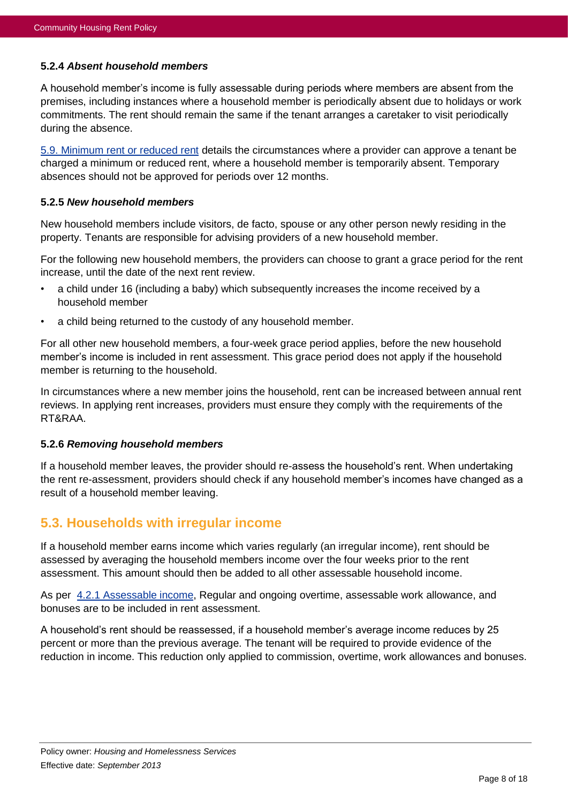#### **5.2.4** *Absent household members*

A household member's income is fully assessable during periods where members are absent from the premises, including instances where a household member is periodically absent due to holidays or work commitments. The rent should remain the same if the tenant arranges a caretaker to visit periodically during the absence.

[5.9. Minimum rent or reduced rent](#page-12-0) details the circumstances where a provider can approve a tenant be charged a minimum or reduced rent, where a household member is temporarily absent. Temporary absences should not be approved for periods over 12 months.

#### <span id="page-7-1"></span>**5.2.5** *New household members*

New household members include visitors, de facto, spouse or any other person newly residing in the property. Tenants are responsible for advising providers of a new household member.

For the following new household members, the providers can choose to grant a grace period for the rent increase, until the date of the next rent review.

- a child under 16 (including a baby) which subsequently increases the income received by a household member
- a child being returned to the custody of any household member.

For all other new household members, a four-week grace period applies, before the new household member's income is included in rent assessment. This grace period does not apply if the household member is returning to the household.

In circumstances where a new member joins the household, rent can be increased between annual rent reviews. In applying rent increases, providers must ensure they comply with the requirements of the RT&RAA.

#### **5.2.6** *Removing household members*

If a household member leaves, the provider should re-assess the household's rent. When undertaking the rent re-assessment, providers should check if any household member's incomes have changed as a result of a household member leaving.

### <span id="page-7-0"></span>**5.3. Households with irregular income**

If a household member earns income which varies regularly (an irregular income), rent should be assessed by averaging the household members income over the four weeks prior to the rent assessment. This amount should then be added to all other assessable household income.

As per [4.2.1 Assessable income,](#page-5-3) Regular and ongoing overtime, assessable work allowance, and bonuses are to be included in rent assessment.

A household's rent should be reassessed, if a household member's average income reduces by 25 percent or more than the previous average. The tenant will be required to provide evidence of the reduction in income. This reduction only applied to commission, overtime, work allowances and bonuses.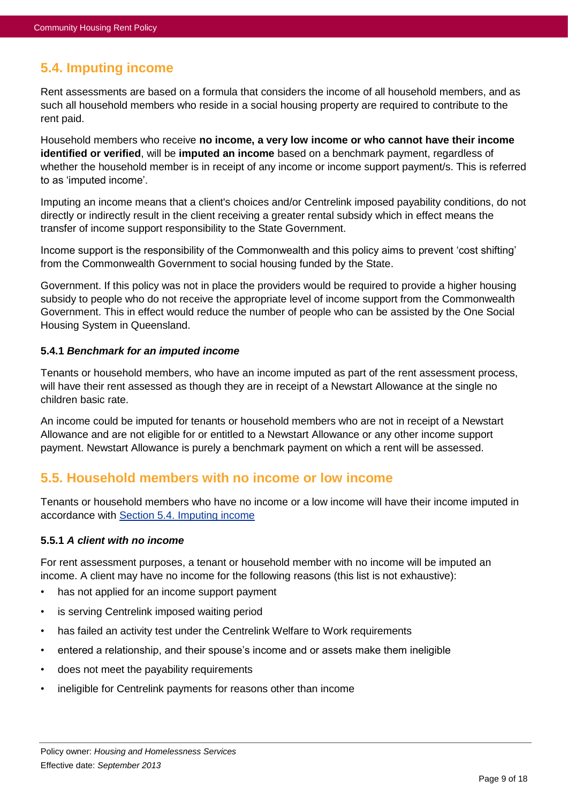# <span id="page-8-0"></span>**5.4. Imputing income**

Rent assessments are based on a formula that considers the income of all household members, and as such all household members who reside in a social housing property are required to contribute to the rent paid.

Household members who receive **no income, a very low income or who cannot have their income identified or verified**, will be **imputed an income** based on a benchmark payment, regardless of whether the household member is in receipt of any income or income support payment/s. This is referred to as 'imputed income'.

Imputing an income means that a client's choices and/or Centrelink imposed payability conditions, do not directly or indirectly result in the client receiving a greater rental subsidy which in effect means the transfer of income support responsibility to the State Government.

Income support is the responsibility of the Commonwealth and this policy aims to prevent 'cost shifting' from the Commonwealth Government to social housing funded by the State.

Government. If this policy was not in place the providers would be required to provide a higher housing subsidy to people who do not receive the appropriate level of income support from the Commonwealth Government. This in effect would reduce the number of people who can be assisted by the One Social Housing System in Queensland.

#### **5.4.1** *Benchmark for an imputed income*

Tenants or household members, who have an income imputed as part of the rent assessment process, will have their rent assessed as though they are in receipt of a Newstart Allowance at the single no children basic rate.

An income could be imputed for tenants or household members who are not in receipt of a Newstart Allowance and are not eligible for or entitled to a Newstart Allowance or any other income support payment. Newstart Allowance is purely a benchmark payment on which a rent will be assessed.

# <span id="page-8-1"></span>**5.5. Household members with no income or low income**

Tenants or household members who have no income or a low income will have their income imputed in accordance with Section [5.4. Imputing income](#page-8-0)

#### **5.5.1** *A client with no income*

For rent assessment purposes, a tenant or household member with no income will be imputed an income. A client may have no income for the following reasons (this list is not exhaustive):

- has not applied for an income support payment
- is serving Centrelink imposed waiting period
- has failed an activity test under the Centrelink Welfare to Work requirements
- entered a relationship, and their spouse's income and or assets make them ineligible
- does not meet the payability requirements
- ineligible for Centrelink payments for reasons other than income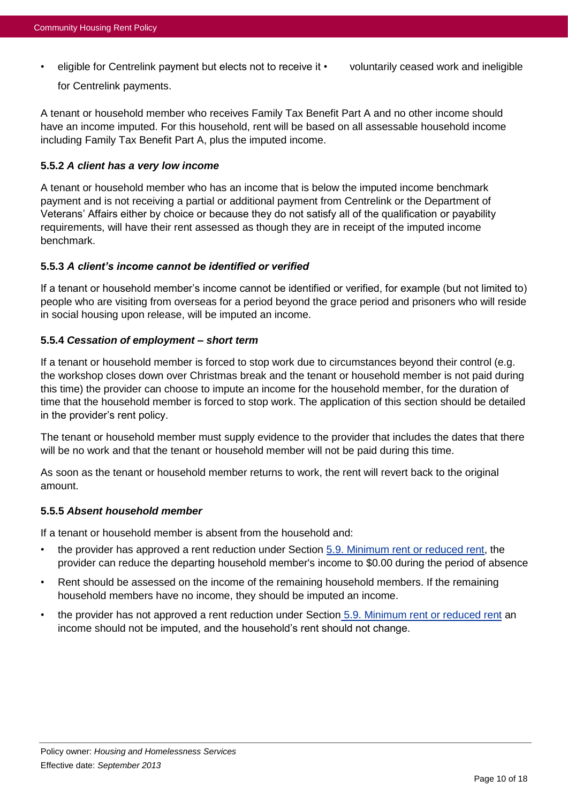• eligible for Centrelink payment but elects not to receive it • voluntarily ceased work and ineligible for Centrelink payments.

A tenant or household member who receives Family Tax Benefit Part A and no other income should have an income imputed. For this household, rent will be based on all assessable household income including Family Tax Benefit Part A, plus the imputed income.

#### **5.5.2** *A client has a very low income*

A tenant or household member who has an income that is below the imputed income benchmark payment and is not receiving a partial or additional payment from Centrelink or the Department of Veterans' Affairs either by choice or because they do not satisfy all of the qualification or payability requirements, will have their rent assessed as though they are in receipt of the imputed income benchmark.

#### **5.5.3** *A client's income cannot be identified or verified*

If a tenant or household member's income cannot be identified or verified, for example (but not limited to) people who are visiting from overseas for a period beyond the grace period and prisoners who will reside in social housing upon release, will be imputed an income.

#### **5.5.4** *Cessation of employment – short term*

If a tenant or household member is forced to stop work due to circumstances beyond their control (e.g. the workshop closes down over Christmas break and the tenant or household member is not paid during this time) the provider can choose to impute an income for the household member, for the duration of time that the household member is forced to stop work. The application of this section should be detailed in the provider's rent policy.

The tenant or household member must supply evidence to the provider that includes the dates that there will be no work and that the tenant or household member will not be paid during this time.

As soon as the tenant or household member returns to work, the rent will revert back to the original amount.

#### **5.5.5** *Absent household member*

If a tenant or household member is absent from the household and:

- the provider has approved a rent reduction under Section [5.9. Minimum rent or reduced rent,](#page-12-0) the provider can reduce the departing household member's income to \$0.00 during the period of absence
- Rent should be assessed on the income of the remaining household members. If the remaining household members have no income, they should be imputed an income.
- the provider has not approved a rent reduction under Section [5.9. Minimum rent or reduced rent](#page-12-0) an income should not be imputed, and the household's rent should not change.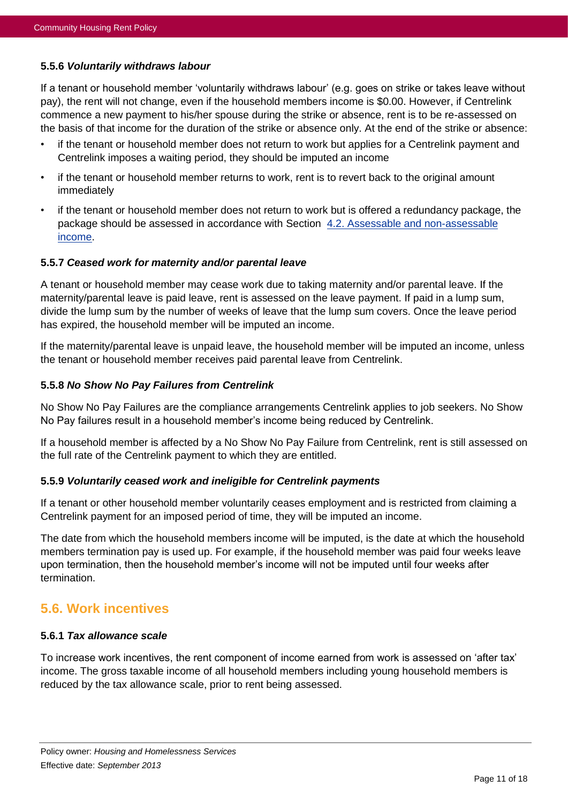#### **5.5.6** *Voluntarily withdraws labour*

If a tenant or household member 'voluntarily withdraws labour' (e.g. goes on strike or takes leave without pay), the rent will not change, even if the household members income is \$0.00. However, if Centrelink commence a new payment to his/her spouse during the strike or absence, rent is to be re-assessed on the basis of that income for the duration of the strike or absence only. At the end of the strike or absence:

- if the tenant or household member does not return to work but applies for a Centrelink payment and Centrelink imposes a waiting period, they should be imputed an income
- if the tenant or household member returns to work, rent is to revert back to the original amount immediately
- if the tenant or household member does not return to work but is offered a redundancy package, the package should be assessed in accordance with Section [4.2. Assessable and non-assessable](#page-5-0)  [income.](#page-5-0)

#### **5.5.7** *Ceased work for maternity and/or parental leave*

A tenant or household member may cease work due to taking maternity and/or parental leave. If the maternity/parental leave is paid leave, rent is assessed on the leave payment. If paid in a lump sum, divide the lump sum by the number of weeks of leave that the lump sum covers. Once the leave period has expired, the household member will be imputed an income.

If the maternity/parental leave is unpaid leave, the household member will be imputed an income, unless the tenant or household member receives paid parental leave from Centrelink.

#### **5.5.8** *No Show No Pay Failures from Centrelink*

No Show No Pay Failures are the compliance arrangements Centrelink applies to job seekers. No Show No Pay failures result in a household member's income being reduced by Centrelink.

If a household member is affected by a No Show No Pay Failure from Centrelink, rent is still assessed on the full rate of the Centrelink payment to which they are entitled.

#### **5.5.9** *Voluntarily ceased work and ineligible for Centrelink payments*

If a tenant or other household member voluntarily ceases employment and is restricted from claiming a Centrelink payment for an imposed period of time, they will be imputed an income.

The date from which the household members income will be imputed, is the date at which the household members termination pay is used up. For example, if the household member was paid four weeks leave upon termination, then the household member's income will not be imputed until four weeks after termination.

### <span id="page-10-0"></span>**5.6. Work incentives**

#### <span id="page-10-1"></span>**5.6.1** *Tax allowance scale*

To increase work incentives, the rent component of income earned from work is assessed on 'after tax' income. The gross taxable income of all household members including young household members is reduced by the tax allowance scale, prior to rent being assessed.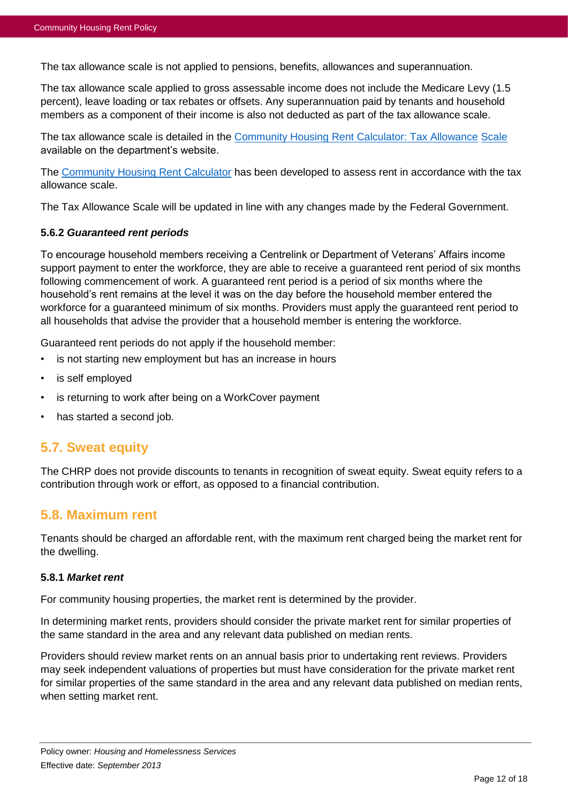The tax allowance scale is not applied to pensions, benefits, allowances and superannuation.

The tax allowance scale applied to gross assessable income does not include the Medicare Levy (1.5 percent), leave loading or tax rebates or offsets. Any superannuation paid by tenants and household members as a component of their income is also not deducted as part of the tax allowance scale.

The tax allowance scale is detailed in the [Community Housing Rent Calculator: Tax Allowance](https://www.hpw.qld.gov.au/SiteCollectionDocuments/CHRentAssessmentToolTaxAllowanceScale.pdf) [Scale](https://www.hpw.qld.gov.au/SiteCollectionDocuments/CHRentAssessmentToolTaxAllowanceScale.pdf) available on the department's website.

The [Community Housing Rent Calculator](https://www.hpw.qld.gov.au/RentCalculator/) has been developed to assess rent in accordance with the tax allowance scale.

The Tax Allowance Scale will be updated in line with any changes made by the Federal Government.

#### <span id="page-11-2"></span>**5.6.2** *Guaranteed rent periods*

To encourage household members receiving a Centrelink or Department of Veterans' Affairs income support payment to enter the workforce, they are able to receive a guaranteed rent period of six months following commencement of work. A guaranteed rent period is a period of six months where the household's rent remains at the level it was on the day before the household member entered the workforce for a guaranteed minimum of six months. Providers must apply the guaranteed rent period to all households that advise the provider that a household member is entering the workforce.

Guaranteed rent periods do not apply if the household member:

- is not starting new employment but has an increase in hours
- is self employed
- is returning to work after being on a WorkCover payment
- has started a second job.

### <span id="page-11-0"></span>**5.7. Sweat equity**

The CHRP does not provide discounts to tenants in recognition of sweat equity. Sweat equity refers to a contribution through work or effort, as opposed to a financial contribution.

### <span id="page-11-1"></span>**5.8. Maximum rent**

Tenants should be charged an affordable rent, with the maximum rent charged being the market rent for the dwelling.

#### **5.8.1** *Market rent*

For community housing properties, the market rent is determined by the provider.

In determining market rents, providers should consider the private market rent for similar properties of the same standard in the area and any relevant data published on median rents.

Providers should review market rents on an annual basis prior to undertaking rent reviews. Providers may seek independent valuations of properties but must have consideration for the private market rent for similar properties of the same standard in the area and any relevant data published on median rents, when setting market rent.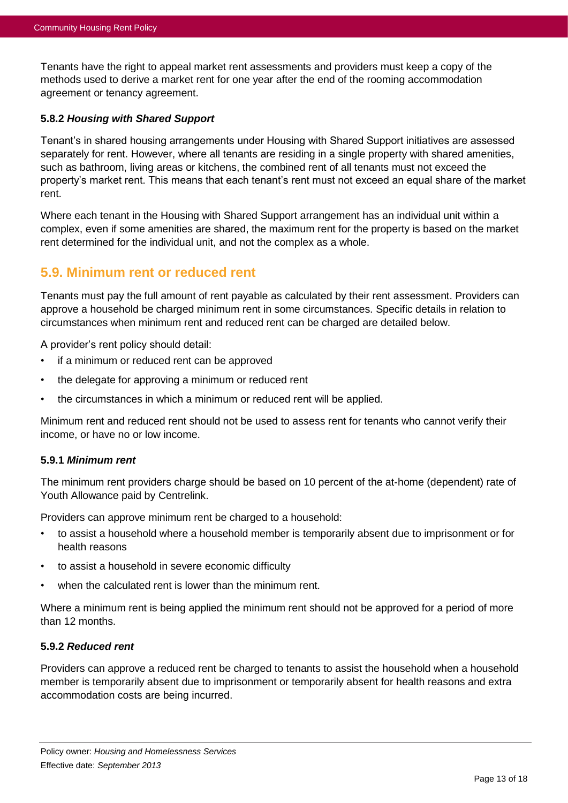Tenants have the right to appeal market rent assessments and providers must keep a copy of the methods used to derive a market rent for one year after the end of the rooming accommodation agreement or tenancy agreement.

#### **5.8.2** *Housing with Shared Support*

Tenant's in shared housing arrangements under Housing with Shared Support initiatives are assessed separately for rent. However, where all tenants are residing in a single property with shared amenities, such as bathroom, living areas or kitchens, the combined rent of all tenants must not exceed the property's market rent. This means that each tenant's rent must not exceed an equal share of the market rent.

Where each tenant in the Housing with Shared Support arrangement has an individual unit within a complex, even if some amenities are shared, the maximum rent for the property is based on the market rent determined for the individual unit, and not the complex as a whole.

### <span id="page-12-0"></span>**5.9. Minimum rent or reduced rent**

Tenants must pay the full amount of rent payable as calculated by their rent assessment. Providers can approve a household be charged minimum rent in some circumstances. Specific details in relation to circumstances when minimum rent and reduced rent can be charged are detailed below.

A provider's rent policy should detail:

- if a minimum or reduced rent can be approved
- the delegate for approving a minimum or reduced rent
- the circumstances in which a minimum or reduced rent will be applied.

Minimum rent and reduced rent should not be used to assess rent for tenants who cannot verify their income, or have no or low income.

#### **5.9.1** *Minimum rent*

The minimum rent providers charge should be based on 10 percent of the at-home (dependent) rate of Youth Allowance paid by Centrelink.

Providers can approve minimum rent be charged to a household:

- to assist a household where a household member is temporarily absent due to imprisonment or for health reasons
- to assist a household in severe economic difficulty
- when the calculated rent is lower than the minimum rent.

Where a minimum rent is being applied the minimum rent should not be approved for a period of more than 12 months.

#### **5.9.2** *Reduced rent*

Providers can approve a reduced rent be charged to tenants to assist the household when a household member is temporarily absent due to imprisonment or temporarily absent for health reasons and extra accommodation costs are being incurred.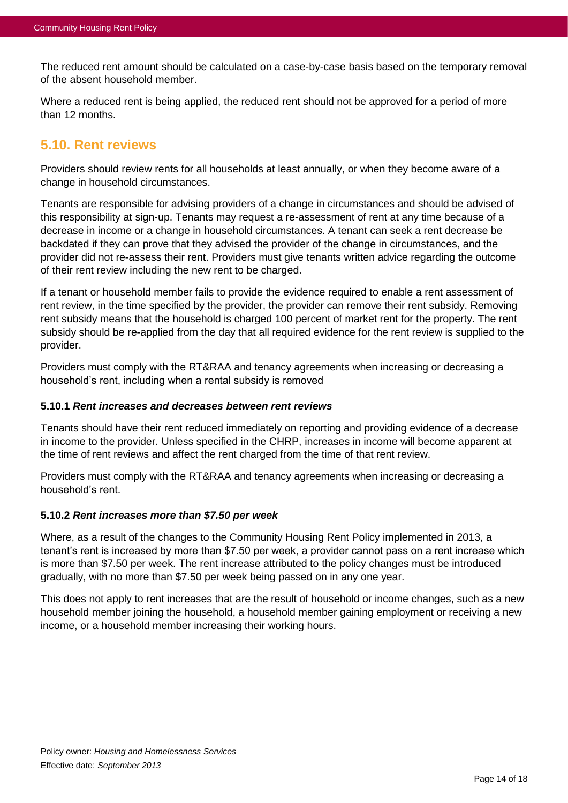The reduced rent amount should be calculated on a case-by-case basis based on the temporary removal of the absent household member.

Where a reduced rent is being applied, the reduced rent should not be approved for a period of more than 12 months.

# <span id="page-13-0"></span>**5.10. Rent reviews**

Providers should review rents for all households at least annually, or when they become aware of a change in household circumstances.

Tenants are responsible for advising providers of a change in circumstances and should be advised of this responsibility at sign-up. Tenants may request a re-assessment of rent at any time because of a decrease in income or a change in household circumstances. A tenant can seek a rent decrease be backdated if they can prove that they advised the provider of the change in circumstances, and the provider did not re-assess their rent. Providers must give tenants written advice regarding the outcome of their rent review including the new rent to be charged.

If a tenant or household member fails to provide the evidence required to enable a rent assessment of rent review, in the time specified by the provider, the provider can remove their rent subsidy. Removing rent subsidy means that the household is charged 100 percent of market rent for the property. The rent subsidy should be re-applied from the day that all required evidence for the rent review is supplied to the provider.

Providers must comply with the RT&RAA and tenancy agreements when increasing or decreasing a household's rent, including when a rental subsidy is removed

#### **5.10.1** *Rent increases and decreases between rent reviews*

Tenants should have their rent reduced immediately on reporting and providing evidence of a decrease in income to the provider. Unless specified in the CHRP, increases in income will become apparent at the time of rent reviews and affect the rent charged from the time of that rent review.

Providers must comply with the RT&RAA and tenancy agreements when increasing or decreasing a household's rent.

#### **5.10.2** *Rent increases more than \$7.50 per week*

Where, as a result of the changes to the Community Housing Rent Policy implemented in 2013, a tenant's rent is increased by more than \$7.50 per week, a provider cannot pass on a rent increase which is more than \$7.50 per week. The rent increase attributed to the policy changes must be introduced gradually, with no more than \$7.50 per week being passed on in any one year.

This does not apply to rent increases that are the result of household or income changes, such as a new household member joining the household, a household member gaining employment or receiving a new income, or a household member increasing their working hours.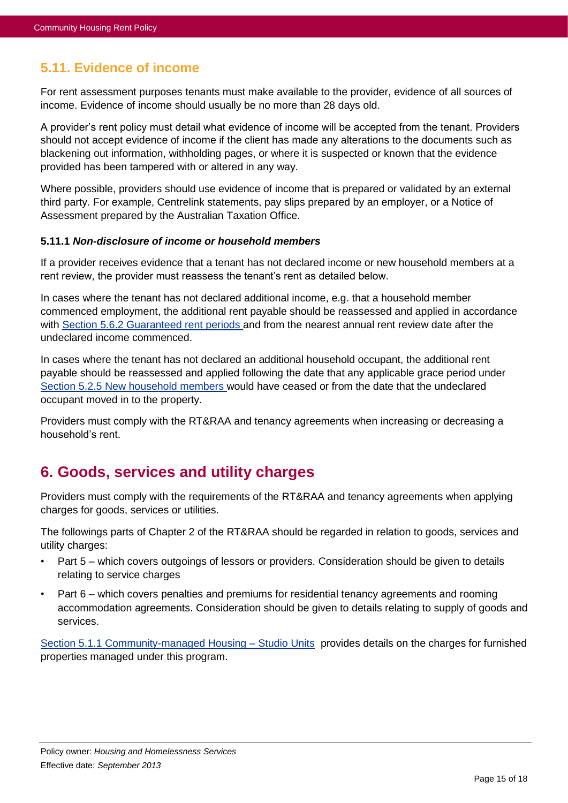# <span id="page-14-0"></span>**5.11. Evidence of income**

For rent assessment purposes tenants must make available to the provider, evidence of all sources of income. Evidence of income should usually be no more than 28 days old.

A provider's rent policy must detail what evidence of income will be accepted from the tenant. Providers should not accept evidence of income if the client has made any alterations to the documents such as blackening out information, withholding pages, or where it is suspected or known that the evidence provided has been tampered with or altered in any way.

Where possible, providers should use evidence of income that is prepared or validated by an external third party. For example, Centrelink statements, pay slips prepared by an employer, or a Notice of Assessment prepared by the Australian Taxation Office.

#### **5.11.1** *Non-disclosure of income or household members*

If a provider receives evidence that a tenant has not declared income or new household members at a rent review, the provider must reassess the tenant's rent as detailed below.

In cases where the tenant has not declared additional income, e.g. that a household member commenced employment, the additional rent payable should be reassessed and applied in accordance with Section [5.6.2 Guaranteed rent periods](#page-11-2) and from the nearest annual rent review date after the undeclared income commenced.

In cases where the tenant has not declared an additional household occupant, the additional rent payable should be reassessed and applied following the date that any applicable grace period under Section [5.2.5 New household members](#page-7-1) would have ceased or from the date that the undeclared occupant moved in to the property.

Providers must comply with the RT&RAA and tenancy agreements when increasing or decreasing a household's rent.

# <span id="page-14-1"></span>**6. Goods, services and utility charges**

Providers must comply with the requirements of the RT&RAA and tenancy agreements when applying charges for goods, services or utilities.

The followings parts of Chapter 2 of the RT&RAA should be regarded in relation to goods, services and utility charges:

- Part 5 which covers outgoings of lessors or providers. Consideration should be given to details relating to service charges
- Part 6 which covers penalties and premiums for residential tenancy agreements and rooming accommodation agreements. Consideration should be given to details relating to supply of goods and services.

Section [5.1.1 Community-managed Housing –](#page-6-2) Studio Units provides details on the charges for furnished properties managed under this program.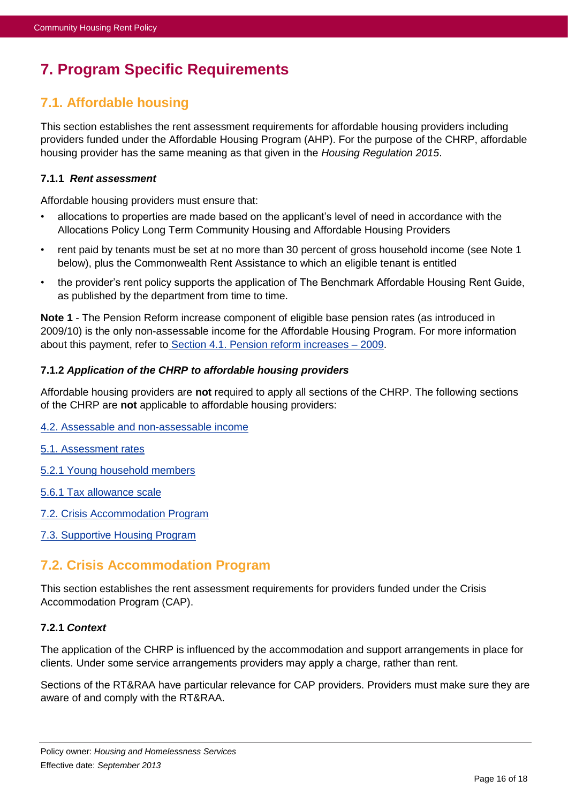# <span id="page-15-0"></span>**7. Program Specific Requirements**

# <span id="page-15-1"></span>**7.1. Affordable housing**

This section establishes the rent assessment requirements for affordable housing providers including providers funded under the Affordable Housing Program (AHP). For the purpose of the CHRP, affordable housing provider has the same meaning as that given in the *Housing Regulation 2015*.

#### **7.1.1** *Rent assessment*

Affordable housing providers must ensure that:

- allocations to properties are made based on the applicant's level of need in accordance with the Allocations Policy Long Term Community Housing and Affordable Housing Providers
- rent paid by tenants must be set at no more than 30 percent of gross household income (see Note 1 below), plus the Commonwealth Rent Assistance to which an eligible tenant is entitled
- the provider's rent policy supports the application of The Benchmark Affordable Housing Rent Guide, as published by the department from time to time.

**Note 1** - The Pension Reform increase component of eligible base pension rates (as introduced in 2009/10) is the only non-assessable income for the Affordable Housing Program. For more information about this payment, refer to Section [4.1. Pension reform increases –](#page-4-2) 2009.

#### **7.1.2** *Application of the CHRP to affordable housing providers*

Affordable housing providers are **not** required to apply all sections of the CHRP. The following sections of the CHRP are **not** applicable to affordable housing providers:

- [4.2. Assessable and non-assessable income](#page-5-0)
- [5.1. Assessment rates](#page-5-2)
- [5.2.1 Young household members](#page-6-3)
- [5.6.1 Tax allowance scale](#page-10-1)
- [7.2. Crisis Accommodation Program](#page-15-2)
- [7.3. Supportive Housing Program](#page-16-0)

# <span id="page-15-2"></span>**7.2. Crisis Accommodation Program**

This section establishes the rent assessment requirements for providers funded under the Crisis Accommodation Program (CAP).

#### **7.2.1** *Context*

The application of the CHRP is influenced by the accommodation and support arrangements in place for clients. Under some service arrangements providers may apply a charge, rather than rent.

Sections of the RT&RAA have particular relevance for CAP providers. Providers must make sure they are aware of and comply with the RT&RAA.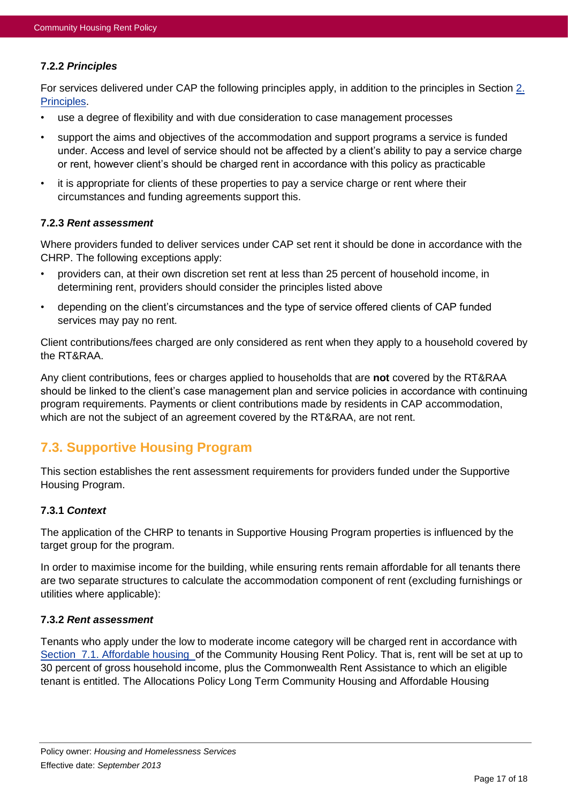#### **7.2.2** *Principles*

For services delivered under CAP the following principles apply, in addition to the principles in Section [2.](#page-3-0)  [Principles.](#page-3-0)

- use a degree of flexibility and with due consideration to case management processes
- support the aims and objectives of the accommodation and support programs a service is funded under. Access and level of service should not be affected by a client's ability to pay a service charge or rent, however client's should be charged rent in accordance with this policy as practicable
- it is appropriate for clients of these properties to pay a service charge or rent where their circumstances and funding agreements support this.

#### **7.2.3** *Rent assessment*

Where providers funded to deliver services under CAP set rent it should be done in accordance with the CHRP. The following exceptions apply:

- providers can, at their own discretion set rent at less than 25 percent of household income, in determining rent, providers should consider the principles listed above
- depending on the client's circumstances and the type of service offered clients of CAP funded services may pay no rent.

Client contributions/fees charged are only considered as rent when they apply to a household covered by the RT&RAA.

Any client contributions, fees or charges applied to households that are **not** covered by the RT&RAA should be linked to the client's case management plan and service policies in accordance with continuing program requirements. Payments or client contributions made by residents in CAP accommodation, which are not the subject of an agreement covered by the RT&RAA, are not rent.

# <span id="page-16-0"></span>**7.3. Supportive Housing Program**

This section establishes the rent assessment requirements for providers funded under the Supportive Housing Program.

#### **7.3.1** *Context*

The application of the CHRP to tenants in Supportive Housing Program properties is influenced by the target group for the program.

In order to maximise income for the building, while ensuring rents remain affordable for all tenants there are two separate structures to calculate the accommodation component of rent (excluding furnishings or utilities where applicable):

#### **7.3.2** *Rent assessment*

Tenants who apply under the low to moderate income category will be charged rent in accordance with Section [7.1. Affordable housing](#page-15-1) of the Community Housing Rent Policy. That is, rent will be set at up to 30 percent of gross household income, plus the Commonwealth Rent Assistance to which an eligible tenant is entitled. The Allocations Policy Long Term Community Housing and Affordable Housing